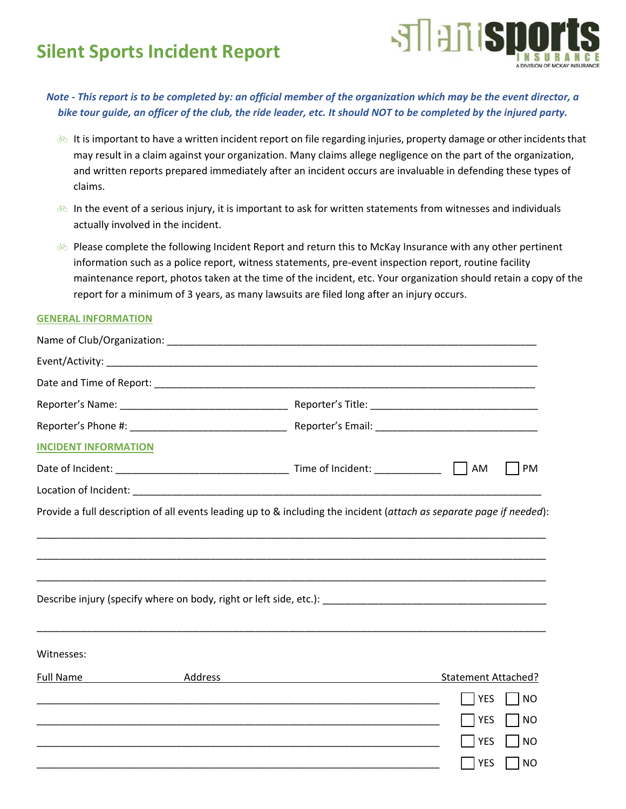## **Silent Sports Incident Report**



*Note ‐ This report is to be completed by: an official member of the organization which may be the event director, a bike tour guide, an officer of the club, the ride leader, etc. It should NOT to be completed by the injured party.* 

- It is important to have a written incident report on file regarding injuries, property damage or other incidents that may result in a claim against your organization. Many claims allege negligence on the part of the organization, and written reports prepared immediately after an incident occurs are invaluable in defending these types of claims.
- In the event of a serious injury, it is important to ask for written statements from witnesses and individuals actually involved in the incident.
- Please complete the following Incident Report and return this to McKay Insurance with any other pertinent information such as a police report, witness statements, pre‐event inspection report, routine facility maintenance report, photos taken at the time of the incident, etc. Your organization should retain a copy of the report for a minimum of 3 years, as many lawsuits are filed long after an injury occurs.

## **GENERAL INFORMATION**

| <b>INCIDENT INFORMATION</b> |         |                                                                                                                                       |                         |
|-----------------------------|---------|---------------------------------------------------------------------------------------------------------------------------------------|-------------------------|
|                             |         |                                                                                                                                       | PM<br>AM                |
|                             |         |                                                                                                                                       |                         |
|                             |         | Describe injury (specify where on body, right or left side, etc.): Describe injury (specify where on body, right or left side, etc.): |                         |
| Witnesses:                  |         |                                                                                                                                       |                         |
| <b>Full Name</b>            | Address |                                                                                                                                       | Statement Attached?     |
|                             |         |                                                                                                                                       | <b>NO</b><br><b>YES</b> |
|                             |         |                                                                                                                                       | <b>YES</b><br> NO       |
|                             |         | <u> 1989 - Johann Stoff, deutscher Stoff, der Stoff, der Stoff, der Stoff, der Stoff, der Stoff, der Stoff, der S</u>                 | <b>YES</b><br> NO       |
|                             |         |                                                                                                                                       | YES<br>  INO            |